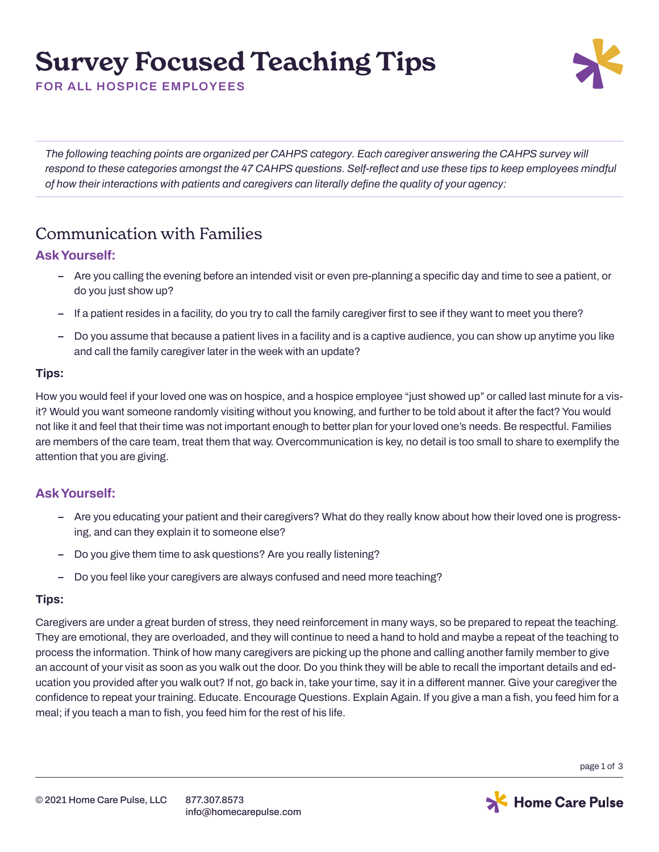# **Survey Focused Teaching Tips**



**FOR ALL HOSPICE EMPLOYEES**

*The following teaching points are organized per CAHPS category. Each caregiver answering the CAHPS survey will respond to these categories amongst the 47 CAHPS questions. Self-reflect and use these tips to keep employees mindful of how their interactions with patients and caregivers can literally define the quality of your agency:*

### Communication with Families

#### **Ask Yourself:**

- **– Are you calling the evening before an intended visit or even pre-planning a specific day and time to see a patient, or do you just show up?**
- **– If a patient resides in a facility, do you try to call the family caregiver first to see if they want to meet you there?**
- **– Do you assume that because a patient lives in a facility and is a captive audience, you can show up anytime you like and call the family caregiver later in the week with an update?**

#### **Tips:**

**How you would feel if your loved one was on hospice, and a hospice employee "just showed up" or called last minute for a visit? Would you want someone randomly visiting without you knowing, and further to be told about it after the fact? You would not like it and feel that their time was not important enough to better plan for your loved one's needs. Be respectful. Families are members of the care team, treat them that way. Overcommunication is key, no detail is too small to share to exemplify the attention that you are giving.** 

#### **Ask Yourself:**

- **– Are you educating your patient and their caregivers? What do they really know about how their loved one is progressing, and can they explain it to someone else?**
- **– Do you give them time to ask questions? Are you really listening?**
- **– Do you feel like your caregivers are always confused and need more teaching?**

#### **Tips:**

**Caregivers are under a great burden of stress, they need reinforcement in many ways, so be prepared to repeat the teaching. They are emotional, they are overloaded, and they will continue to need a hand to hold and maybe a repeat of the teaching to process the information. Think of how many caregivers are picking up the phone and calling another family member to give an account of your visit as soon as you walk out the door. Do you think they will be able to recall the important details and education you provided after you walk out? If not, go back in, take your time, say it in a different manner. Give your caregiver the confidence to repeat your training. Educate. Encourage Questions. Explain Again. If you give a man a fish, you feed him for a meal; if you teach a man to fish, you feed him for the rest of his life.**

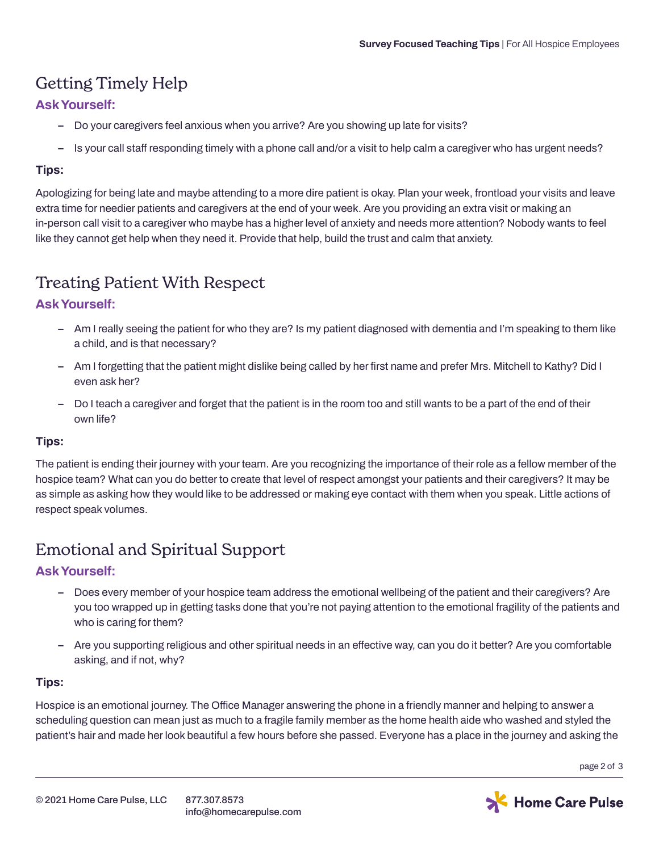# Getting Timely Help

#### **Ask Yourself:**

- **– Do your caregivers feel anxious when you arrive? Are you showing up late for visits?**
- **– Is your call staff responding timely with a phone call and/or a visit to help calm a caregiver who has urgent needs?**

#### **Tips:**

**Apologizing for being late and maybe attending to a more dire patient is okay. Plan your week, frontload your visits and leave extra time for needier patients and caregivers at the end of your week. Are you providing an extra visit or making an in-person call visit to a caregiver who maybe has a higher level of anxiety and needs more attention? Nobody wants to feel like they cannot get help when they need it. Provide that help, build the trust and calm that anxiety.** 

## Treating Patient With Respect

#### **Ask Yourself:**

- **– Am I really seeing the patient for who they are? Is my patient diagnosed with dementia and I'm speaking to them like a child, and is that necessary?**
- **– Am I forgetting that the patient might dislike being called by her first name and prefer Mrs. Mitchell to Kathy? Did I even ask her?**
- **– Do I teach a caregiver and forget that the patient is in the room too and still wants to be a part of the end of their own life?**

#### **Tips:**

**The patient is ending their journey with your team. Are you recognizing the importance of their role as a fellow member of the hospice team? What can you do better to create that level of respect amongst your patients and their caregivers? It may be as simple as asking how they would like to be addressed or making eye contact with them when you speak. Little actions of respect speak volumes.**

# Emotional and Spiritual Support

#### **Ask Yourself:**

- **– Does every member of your hospice team address the emotional wellbeing of the patient and their caregivers? Are you too wrapped up in getting tasks done that you're not paying attention to the emotional fragility of the patients and who is caring for them?**
- **– Are you supporting religious and other spiritual needs in an effective way, can you do it better? Are you comfortable asking, and if not, why?**

#### **Tips:**

**Hospice is an emotional journey. The Office Manager answering the phone in a friendly manner and helping to answer a scheduling question can mean just as much to a fragile family member as the home health aide who washed and styled the patient's hair and made her look beautiful a few hours before she passed. Everyone has a place in the journey and asking the** 

**page 2 of 3**